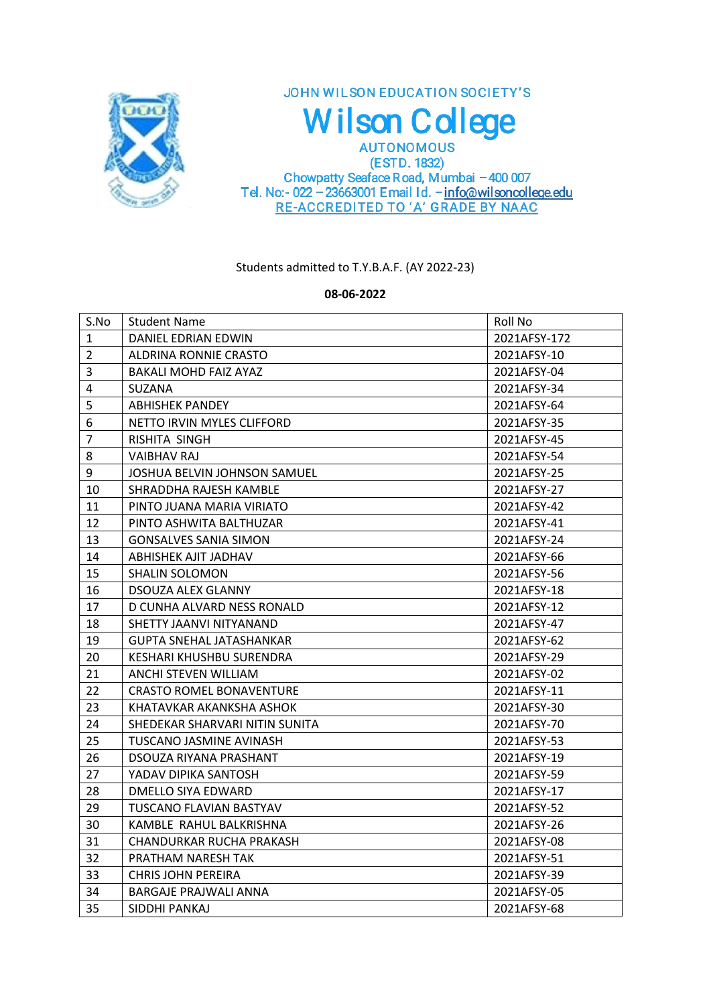

JOHN WILSON EDUCATION SOCIETY'S **Wilson College AUTONOMOUS** 

(ESTD. 1832) Chowpatty Seaface Road, Mumbai -400 007<br>Tel. No:- 022 - 23663001 Email Id. - info@wilsoncollege.edu RE-ACCREDITED TO 'A' GRADE BY NAAC

Students admitted to T.Y.B.A.F. (AY 2022-23)

**08-06-2022**

| S.No           | <b>Student Name</b>             | Roll No      |
|----------------|---------------------------------|--------------|
| $\mathbf{1}$   | DANIEL EDRIAN EDWIN             | 2021AFSY-172 |
| $\overline{2}$ | ALDRINA RONNIE CRASTO           | 2021AFSY-10  |
| 3              | <b>BAKALI MOHD FAIZ AYAZ</b>    | 2021AFSY-04  |
| 4              | <b>SUZANA</b>                   | 2021AFSY-34  |
| 5              | <b>ABHISHEK PANDEY</b>          | 2021AFSY-64  |
| 6              | NETTO IRVIN MYLES CLIFFORD      | 2021AFSY-35  |
| $\overline{7}$ | RISHITA SINGH                   | 2021AFSY-45  |
| 8              | VAIBHAV RAJ                     | 2021AFSY-54  |
| 9              | JOSHUA BELVIN JOHNSON SAMUEL    | 2021AFSY-25  |
| 10             | SHRADDHA RAJESH KAMBLE          | 2021AFSY-27  |
| 11             | PINTO JUANA MARIA VIRIATO       | 2021AFSY-42  |
| 12             | PINTO ASHWITA BALTHUZAR         | 2021AFSY-41  |
| 13             | <b>GONSALVES SANIA SIMON</b>    | 2021AFSY-24  |
| 14             | ABHISHEK AJIT JADHAV            | 2021AFSY-66  |
| 15             | <b>SHALIN SOLOMON</b>           | 2021AFSY-56  |
| 16             | DSOUZA ALEX GLANNY              | 2021AFSY-18  |
| 17             | D CUNHA ALVARD NESS RONALD      | 2021AFSY-12  |
| 18             | SHETTY JAANVI NITYANAND         | 2021AFSY-47  |
| 19             | <b>GUPTA SNEHAL JATASHANKAR</b> | 2021AFSY-62  |
| 20             | KESHARI KHUSHBU SURENDRA        | 2021AFSY-29  |
| 21             | ANCHI STEVEN WILLIAM            | 2021AFSY-02  |
| 22             | <b>CRASTO ROMEL BONAVENTURE</b> | 2021AFSY-11  |
| 23             | KHATAVKAR AKANKSHA ASHOK        | 2021AFSY-30  |
| 24             | SHEDEKAR SHARVARI NITIN SUNITA  | 2021AFSY-70  |
| 25             | TUSCANO JASMINE AVINASH         | 2021AFSY-53  |
| 26             | DSOUZA RIYANA PRASHANT          | 2021AFSY-19  |
| 27             | YADAV DIPIKA SANTOSH            | 2021AFSY-59  |
| 28             | DMELLO SIYA EDWARD              | 2021AFSY-17  |
| 29             | TUSCANO FLAVIAN BASTYAV         | 2021AFSY-52  |
| 30             | KAMBLE RAHUL BALKRISHNA         | 2021AFSY-26  |
| 31             | CHANDURKAR RUCHA PRAKASH        | 2021AFSY-08  |
| 32             | PRATHAM NARESH TAK              | 2021AFSY-51  |
| 33             | <b>CHRIS JOHN PEREIRA</b>       | 2021AFSY-39  |
| 34             | <b>BARGAJE PRAJWALI ANNA</b>    | 2021AFSY-05  |
| 35             | SIDDHI PANKAJ                   | 2021AFSY-68  |